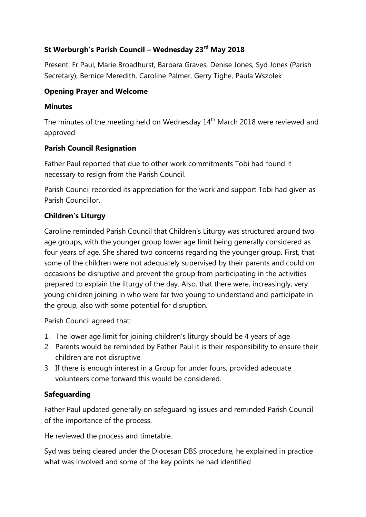# **St Werburgh's Parish Council – Wednesday 23rd May 2018**

Present: Fr Paul, Marie Broadhurst, Barbara Graves, Denise Jones, Syd Jones (Parish Secretary), Bernice Meredith, Caroline Palmer, Gerry Tighe, Paula Wszolek

### **Opening Prayer and Welcome**

#### **Minutes**

The minutes of the meeting held on Wednesday 14<sup>th</sup> March 2018 were reviewed and approved

### **Parish Council Resignation**

Father Paul reported that due to other work commitments Tobi had found it necessary to resign from the Parish Council.

Parish Council recorded its appreciation for the work and support Tobi had given as Parish Councillor.

### **Children's Liturgy**

Caroline reminded Parish Council that Children's Liturgy was structured around two age groups, with the younger group lower age limit being generally considered as four years of age. She shared two concerns regarding the younger group. First, that some of the children were not adequately supervised by their parents and could on occasions be disruptive and prevent the group from participating in the activities prepared to explain the liturgy of the day. Also, that there were, increasingly, very young children joining in who were far two young to understand and participate in the group, also with some potential for disruption.

Parish Council agreed that:

- 1. The lower age limit for joining children's liturgy should be 4 years of age
- 2. Parents would be reminded by Father Paul it is their responsibility to ensure their children are not disruptive
- 3. If there is enough interest in a Group for under fours, provided adequate volunteers come forward this would be considered.

### **Safeguarding**

Father Paul updated generally on safeguarding issues and reminded Parish Council of the importance of the process.

He reviewed the process and timetable.

Syd was being cleared under the Diocesan DBS procedure, he explained in practice what was involved and some of the key points he had identified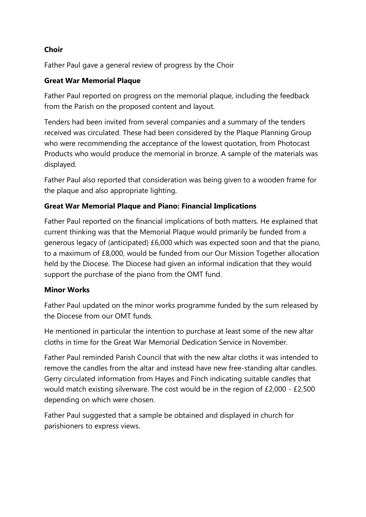# **Choir**

Father Paul gave a general review of progress by the Choir

# **Great War Memorial Plaque**

Father Paul reported on progress on the memorial plaque, including the feedback from the Parish on the proposed content and layout.

Tenders had been invited from several companies and a summary of the tenders received was circulated. These had been considered by the Plaque Planning Group who were recommending the acceptance of the lowest quotation, from Photocast Products who would produce the memorial in bronze. A sample of the materials was displayed.

Father Paul also reported that consideration was being given to a wooden frame for the plaque and also appropriate lighting.

# **Great War Memorial Plaque and Piano: Financial Implications**

Father Paul reported on the financial implications of both matters. He explained that current thinking was that the Memorial Plaque would primarily be funded from a generous legacy of (anticipated) £6,000 which was expected soon and that the piano, to a maximum of £8,000, would be funded from our Our Mission Together allocation held by the Diocese. The Diocese had given an informal indication that they would support the purchase of the piano from the OMT fund.

### **Minor Works**

Father Paul updated on the minor works programme funded by the sum released by the Diocese from our OMT funds.

He mentioned in particular the intention to purchase at least some of the new altar cloths in time for the Great War Memorial Dedication Service in November.

Father Paul reminded Parish Council that with the new altar cloths it was intended to remove the candles from the altar and instead have new free-standing altar candles. Gerry circulated information from Hayes and Finch indicating suitable candles that would match existing silverware. The cost would be in the region of £2,000 - £2,500 depending on which were chosen.

Father Paul suggested that a sample be obtained and displayed in church for parishioners to express views.